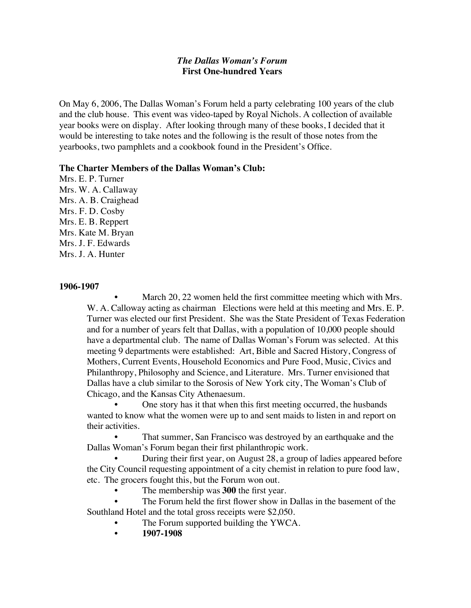## *The Dallas Woman's Forum* **First One-hundred Years**

On May 6, 2006, The Dallas Woman's Forum held a party celebrating 100 years of the club and the club house. This event was video-taped by Royal Nichols. A collection of available year books were on display. After looking through many of these books, I decided that it would be interesting to take notes and the following is the result of those notes from the yearbooks, two pamphlets and a cookbook found in the President's Office.

#### **The Charter Members of the Dallas Woman's Club:**

Mrs. E. P. Turner Mrs. W. A. Callaway Mrs. A. B. Craighead Mrs. F. D. Cosby Mrs. E. B. Reppert Mrs. Kate M. Bryan Mrs. J. F. Edwards Mrs. J. A. Hunter

#### **1906-1907**

March 20, 22 women held the first committee meeting which with Mrs. W. A. Calloway acting as chairman Elections were held at this meeting and Mrs. E. P. Turner was elected our first President. She was the State President of Texas Federation and for a number of years felt that Dallas, with a population of 10,000 people should have a departmental club. The name of Dallas Woman's Forum was selected. At this meeting 9 departments were established: Art, Bible and Sacred History, Congress of Mothers, Current Events, Household Economics and Pure Food, Music, Civics and Philanthropy, Philosophy and Science, and Literature. Mrs. Turner envisioned that Dallas have a club similar to the Sorosis of New York city, The Woman's Club of Chicago, and the Kansas City Athenaesum.

• One story has it that when this first meeting occurred, the husbands wanted to know what the women were up to and sent maids to listen in and report on their activities.

• That summer, San Francisco was destroyed by an earthquake and the Dallas Woman's Forum began their first philanthropic work.

• During their first year, on August 28, a group of ladies appeared before the City Council requesting appointment of a city chemist in relation to pure food law, etc. The grocers fought this, but the Forum won out.

The membership was **300** the first year.

• The Forum held the first flower show in Dallas in the basement of the Southland Hotel and the total gross receipts were \$2,050.

- The Forum supported building the YWCA.
- **1907-1908**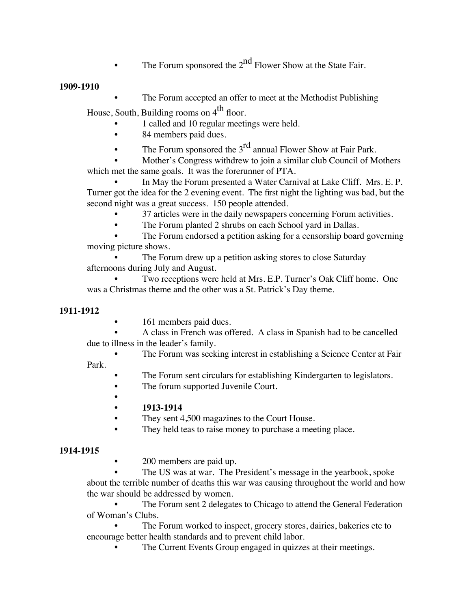The Forum sponsored the  $2<sup>nd</sup>$  Flower Show at the State Fair.

## **1909-1910**

The Forum accepted an offer to meet at the Methodist Publishing

House, South, Building rooms on  $4<sup>th</sup>$  floor.

- 1 called and 10 regular meetings were held.
	- 84 members paid dues.
	- The Forum sponsored the  $3<sup>rd</sup>$  annual Flower Show at Fair Park.

• Mother's Congress withdrew to join a similar club Council of Mothers which met the same goals. It was the forerunner of PTA.

• In May the Forum presented a Water Carnival at Lake Cliff. Mrs. E. P. Turner got the idea for the 2 evening event. The first night the lighting was bad, but the second night was a great success. 150 people attended.

- 37 articles were in the daily newspapers concerning Forum activities.
- The Forum planted 2 shrubs on each School yard in Dallas.

The Forum endorsed a petition asking for a censorship board governing moving picture shows.

The Forum drew up a petition asking stores to close Saturday afternoons during July and August.

• Two receptions were held at Mrs. E.P. Turner's Oak Cliff home. One was a Christmas theme and the other was a St. Patrick's Day theme.

# **1911-1912**

161 members paid dues.

• A class in French was offered. A class in Spanish had to be cancelled due to illness in the leader's family.

The Forum was seeking interest in establishing a Science Center at Fair

Park.

- The Forum sent circulars for establishing Kindergarten to legislators.
- The forum supported Juvenile Court.
- **• 1913-1914**
- They sent 4,500 magazines to the Court House.
- They held teas to raise money to purchase a meeting place.

# **1914-1915**

• 200 members are paid up.

The US was at war. The President's message in the yearbook, spoke about the terrible number of deaths this war was causing throughout the world and how the war should be addressed by women.

• The Forum sent 2 delegates to Chicago to attend the General Federation of Woman's Clubs.

The Forum worked to inspect, grocery stores, dairies, bakeries etc to encourage better health standards and to prevent child labor.

The Current Events Group engaged in quizzes at their meetings.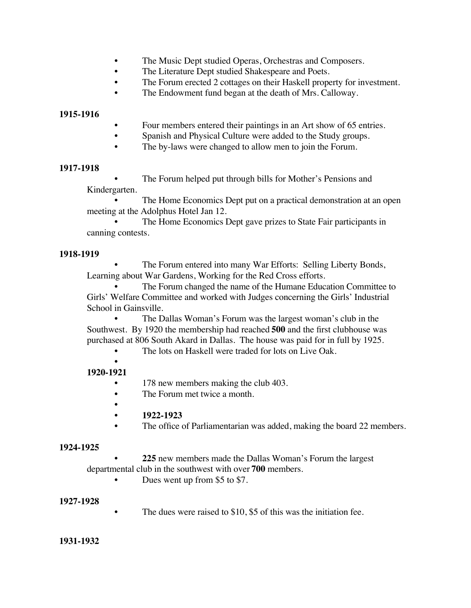- The Music Dept studied Operas, Orchestras and Composers.
- The Literature Dept studied Shakespeare and Poets.
- The Forum erected 2 cottages on their Haskell property for investment.
- The Endowment fund began at the death of Mrs. Calloway.

#### **1915-1916**

- Four members entered their paintings in an Art show of 65 entries.
- Spanish and Physical Culture were added to the Study groups.
- The by-laws were changed to allow men to join the Forum.

#### **1917-1918**

The Forum helped put through bills for Mother's Pensions and

## Kindergarten.

The Home Economics Dept put on a practical demonstration at an open meeting at the Adolphus Hotel Jan 12.

The Home Economics Dept gave prizes to State Fair participants in canning contests.

## **1918-1919**

• The Forum entered into many War Efforts: Selling Liberty Bonds, Learning about War Gardens, Working for the Red Cross efforts.

• The Forum changed the name of the Humane Education Committee to Girls' Welfare Committee and worked with Judges concerning the Girls' Industrial School in Gainsville.

The Dallas Woman's Forum was the largest woman's club in the Southwest. By 1920 the membership had reached **500** and the first clubhouse was purchased at 806 South Akard in Dallas. The house was paid for in full by 1925.

The lots on Haskell were traded for lots on Live Oak.

#### • **1920-1921**

- 178 new members making the club 403.
- The Forum met twice a month.
- **• 1922-1923**
- The office of Parliamentarian was added, making the board 22 members.

## **1924-1925**

**• 225** new members made the Dallas Woman's Forum the largest departmental club in the southwest with over **700** members.

Dues went up from \$5 to \$7.

# **1927-1928**

• The dues were raised to \$10, \$5 of this was the initiation fee.

## **1931-1932**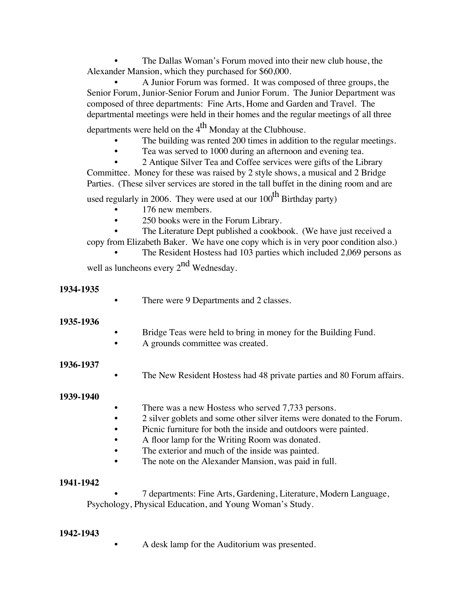The Dallas Woman's Forum moved into their new club house, the Alexander Mansion, which they purchased for \$60,000.

• A Junior Forum was formed. It was composed of three groups, the Senior Forum, Junior-Senior Forum and Junior Forum. The Junior Department was composed of three departments: Fine Arts, Home and Garden and Travel. The departmental meetings were held in their homes and the regular meetings of all three

departments were held on the  $4<sup>th</sup>$  Monday at the Clubhouse.

- The building was rented 200 times in addition to the regular meetings.
- Tea was served to 1000 during an afternoon and evening tea.

• 2 Antique Silver Tea and Coffee services were gifts of the Library Committee. Money for these was raised by 2 style shows, a musical and 2 Bridge Parties. (These silver services are stored in the tall buffet in the dining room and are

used regularly in 2006. They were used at our 100<sup>th</sup> Birthday party)

- 176 new members.
- 250 books were in the Forum Library.

The Literature Dept published a cookbook. (We have just received a copy from Elizabeth Baker. We have one copy which is in very poor condition also.)

• The Resident Hostess had 103 parties which included 2,069 persons as

well as luncheons every 2<sup>nd</sup> Wednesday.

# **1934-1935**

There were 9 Departments and 2 classes.

# **1935-1936**

- Bridge Teas were held to bring in money for the Building Fund.
- A grounds committee was created.

# **1936-1937**

The New Resident Hostess had 48 private parties and 80 Forum affairs.

# **1939-1940**

- There was a new Hostess who served 7,733 persons.
- 2 silver goblets and some other silver items were donated to the Forum.
- Picnic furniture for both the inside and outdoors were painted.
- A floor lamp for the Writing Room was donated.
- The exterior and much of the inside was painted.
- The note on the Alexander Mansion, was paid in full.

# **1941-1942**

• 7 departments: Fine Arts, Gardening, Literature, Modern Language, Psychology, Physical Education, and Young Woman's Study.

# **1942-1943**

• A desk lamp for the Auditorium was presented.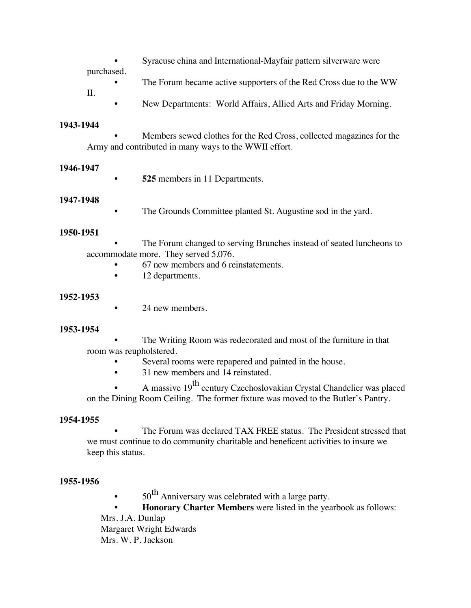Syracuse china and International-Mayfair pattern silverware were

purchased.

- The Forum became active supporters of the Red Cross due to the WW II.
	- New Departments: World Affairs, Allied Arts and Friday Morning.

## **1943-1944**

• Members sewed clothes for the Red Cross, collected magazines for the Army and contributed in many ways to the WWII effort.

## **1946-1947**

**• 525** members in 11 Departments.

## **1947-1948**

The Grounds Committee planted St. Augustine sod in the yard.

## **1950-1951**

The Forum changed to serving Brunches instead of seated luncheons to accommodate more. They served 5,076.

- 67 new members and 6 reinstatements.
- 12 departments.

## **1952-1953**

24 new members.

## **1953-1954**

The Writing Room was redecorated and most of the furniture in that room was reupholstered.

- Several rooms were repapered and painted in the house.
- 31 new members and 14 reinstated.

A massive 19<sup>th</sup> century Czechoslovakian Crystal Chandelier was placed on the Dining Room Ceiling. The former fixture was moved to the Butler's Pantry.

## **1954-1955**

The Forum was declared TAX FREE status. The President stressed that we must continue to do community charitable and beneficent activities to insure we keep this status.

## **1955-1956**

 $50<sup>th</sup>$  Anniversary was celebrated with a large party.

**• Honorary Charter Members** were listed in the yearbook as follows:

Mrs. J.A. Dunlap Margaret Wright Edwards Mrs. W. P. Jackson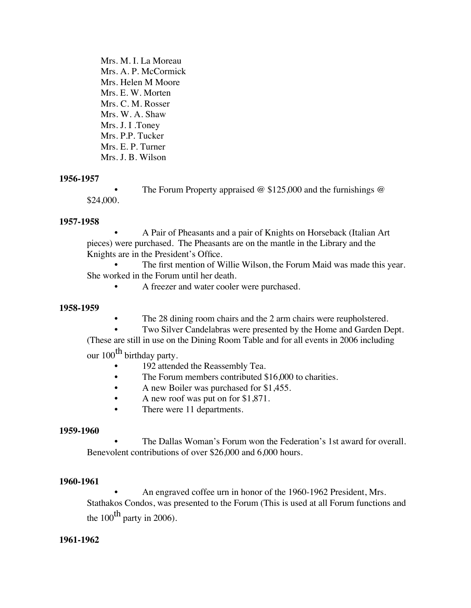Mrs. M. I. La Moreau Mrs. A. P. McCormick Mrs. Helen M Moore Mrs. E. W. Morten Mrs. C. M. Rosser Mrs. W. A. Shaw Mrs. J. I .Toney Mrs. P.P. Tucker Mrs. E. P. Turner Mrs. J. B. Wilson

#### **1956-1957**

The Forum Property appraised  $\omega$  \$125,000 and the furnishings  $\omega$ \$24,000.

#### **1957-1958**

• A Pair of Pheasants and a pair of Knights on Horseback (Italian Art pieces) were purchased. The Pheasants are on the mantle in the Library and the Knights are in the President's Office.

The first mention of Willie Wilson, the Forum Maid was made this year. She worked in the Forum until her death.

A freezer and water cooler were purchased.

#### **1958-1959**

The 28 dining room chairs and the 2 arm chairs were reupholstered.

• Two Silver Candelabras were presented by the Home and Garden Dept.

(These are still in use on the Dining Room Table and for all events in 2006 including our 100<sup>th</sup> birthday party.

- 192 attended the Reassembly Tea.
- The Forum members contributed \$16,000 to charities.
- A new Boiler was purchased for \$1,455.
- A new roof was put on for \$1,871.
- There were 11 departments.

## **1959-1960**

• The Dallas Woman's Forum won the Federation's 1st award for overall. Benevolent contributions of over \$26,000 and 6,000 hours.

## **1960-1961**

• An engraved coffee urn in honor of the 1960-1962 President, Mrs. Stathakos Condos, was presented to the Forum (This is used at all Forum functions and the  $100^{th}$  party in 2006).

#### **1961-1962**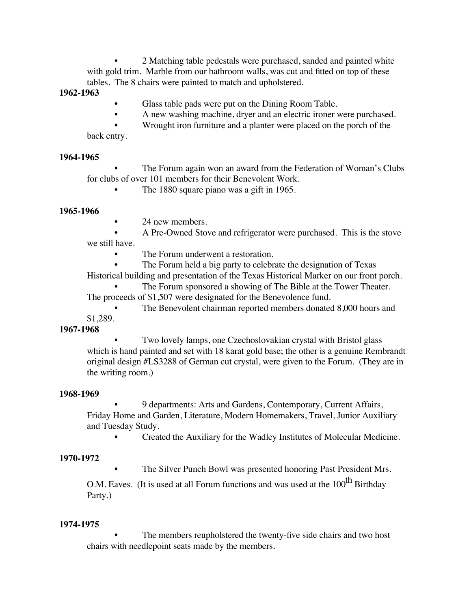• 2 Matching table pedestals were purchased, sanded and painted white with gold trim. Marble from our bathroom walls, was cut and fitted on top of these tables. The 8 chairs were painted to match and upholstered.

**1962-1963**

- Glass table pads were put on the Dining Room Table.
- A new washing machine, dryer and an electric ironer were purchased.
- Wrought iron furniture and a planter were placed on the porch of the

back entry.

#### **1964-1965**

• The Forum again won an award from the Federation of Woman's Clubs for clubs of over 101 members for their Benevolent Work.

The 1880 square piano was a gift in 1965.

## **1965-1966**

24 new members.

• A Pre-Owned Stove and refrigerator were purchased. This is the stove we still have.

The Forum underwent a restoration.

The Forum held a big party to celebrate the designation of Texas

Historical building and presentation of the Texas Historical Marker on our front porch.

The Forum sponsored a showing of The Bible at the Tower Theater. The proceeds of \$1,507 were designated for the Benevolence fund.

The Benevolent chairman reported members donated 8,000 hours and \$1,289.

## **1967-1968**

• Two lovely lamps, one Czechoslovakian crystal with Bristol glass which is hand painted and set with 18 karat gold base; the other is a genuine Rembrandt original design #LS3288 of German cut crystal, were given to the Forum. (They are in the writing room.)

## **1968-1969**

• 9 departments: Arts and Gardens, Contemporary, Current Affairs, Friday Home and Garden, Literature, Modern Homemakers, Travel, Junior Auxiliary and Tuesday Study.

• Created the Auxiliary for the Wadley Institutes of Molecular Medicine.

# **1970-1972**

The Silver Punch Bowl was presented honoring Past President Mrs.

O.M. Eaves. (It is used at all Forum functions and was used at the 100<sup>th</sup> Birthday Party.)

# **1974-1975**

The members reupholstered the twenty-five side chairs and two host chairs with needlepoint seats made by the members.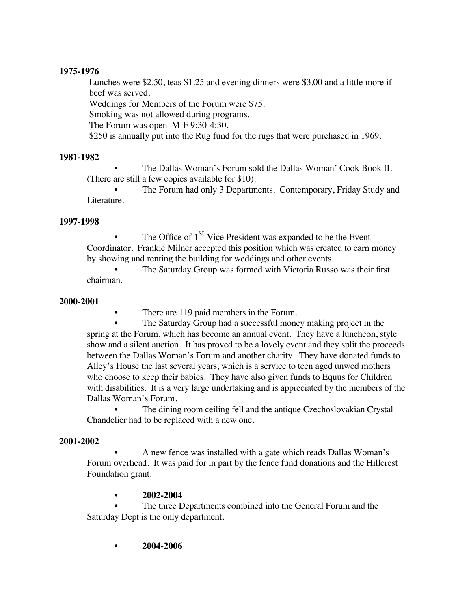## **1975-1976**

Lunches were \$2.50, teas \$1.25 and evening dinners were \$3.00 and a little more if beef was served.

Weddings for Members of the Forum were \$75.

Smoking was not allowed during programs.

The Forum was open M-F 9:30-4:30.

\$250 is annually put into the Rug fund for the rugs that were purchased in 1969.

# **1981-1982**

• The Dallas Woman's Forum sold the Dallas Woman' Cook Book II. (There are still a few copies available for \$10).

• The Forum had only 3 Departments. Contemporary, Friday Study and Literature.

## **1997-1998**

The Office of 1<sup>st</sup> Vice President was expanded to be the Event Coordinator. Frankie Milner accepted this position which was created to earn money by showing and renting the building for weddings and other events.

The Saturday Group was formed with Victoria Russo was their first chairman.

## **2000-2001**

There are 119 paid members in the Forum.

The Saturday Group had a successful money making project in the spring at the Forum, which has become an annual event. They have a luncheon, style show and a silent auction. It has proved to be a lovely event and they split the proceeds between the Dallas Woman's Forum and another charity. They have donated funds to Alley's House the last several years, which is a service to teen aged unwed mothers who choose to keep their babies. They have also given funds to Equus for Children with disabilities. It is a very large undertaking and is appreciated by the members of the Dallas Woman's Forum.

The dining room ceiling fell and the antique Czechoslovakian Crystal Chandelier had to be replaced with a new one.

# **2001-2002**

• A new fence was installed with a gate which reads Dallas Woman's Forum overhead. It was paid for in part by the fence fund donations and the Hillcrest Foundation grant.

# **• 2002-2004**

The three Departments combined into the General Forum and the Saturday Dept is the only department.

**• 2004-2006**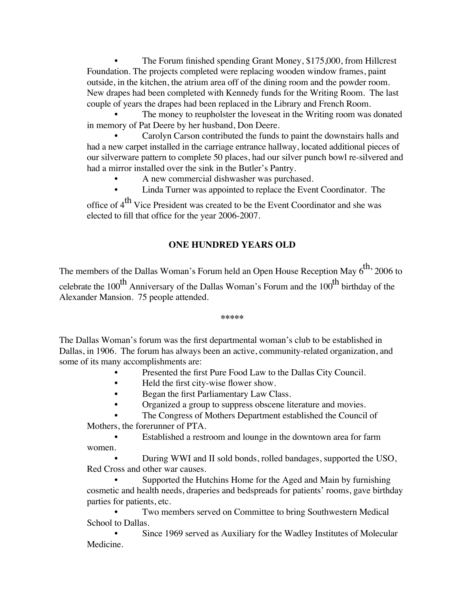The Forum finished spending Grant Money, \$175,000, from Hillcrest Foundation. The projects completed were replacing wooden window frames, paint outside, in the kitchen, the atrium area off of the dining room and the powder room. New drapes had been completed with Kennedy funds for the Writing Room. The last couple of years the drapes had been replaced in the Library and French Room.

The money to reupholster the loveseat in the Writing room was donated in memory of Pat Deere by her husband, Don Deere.

• Carolyn Carson contributed the funds to paint the downstairs halls and had a new carpet installed in the carriage entrance hallway, located additional pieces of our silverware pattern to complete 50 places, had our silver punch bowl re-silvered and had a mirror installed over the sink in the Butler's Pantry.

- A new commercial dishwasher was purchased.
- Linda Turner was appointed to replace the Event Coordinator. The

office of 4<sup>th</sup> Vice President was created to be the Event Coordinator and she was elected to fill that office for the year 2006-2007.

# **ONE HUNDRED YEARS OLD**

The members of the Dallas Woman's Forum held an Open House Reception May  $6^{th}$ , 2006 to celebrate the  $100^{th}$  Anniversary of the Dallas Woman's Forum and the  $100^{th}$  birthday of the Alexander Mansion. 75 people attended.

#### **\*\*\*\*\***

The Dallas Woman's forum was the first departmental woman's club to be established in Dallas, in 1906. The forum has always been an active, community-related organization, and some of its many accomplishments are:

- Presented the first Pure Food Law to the Dallas City Council.
- Held the first city-wise flower show.
- Began the first Parliamentary Law Class.
- Organized a group to suppress obscene literature and movies.

The Congress of Mothers Department established the Council of Mothers, the forerunner of PTA.

• Established a restroom and lounge in the downtown area for farm women.

• During WWI and II sold bonds, rolled bandages, supported the USO, Red Cross and other war causes.

Supported the Hutchins Home for the Aged and Main by furnishing cosmetic and health needs, draperies and bedspreads for patients' rooms, gave birthday parties for patients, etc.

Two members served on Committee to bring Southwestern Medical School to Dallas.

Since 1969 served as Auxiliary for the Wadley Institutes of Molecular Medicine.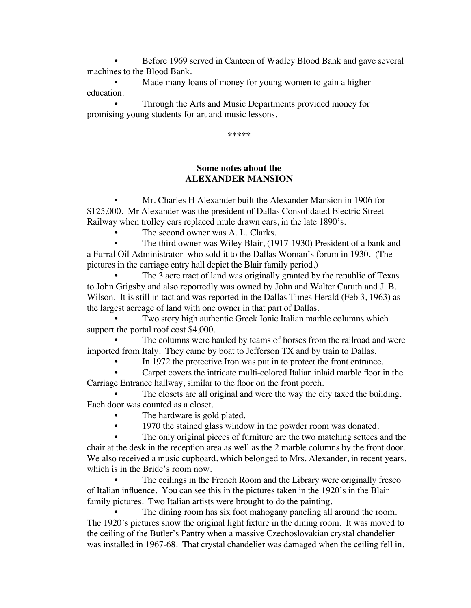• Before 1969 served in Canteen of Wadley Blood Bank and gave several machines to the Blood Bank.

Made many loans of money for young women to gain a higher education.

• Through the Arts and Music Departments provided money for promising young students for art and music lessons.

**\*\*\*\*\***

## **Some notes about the ALEXANDER MANSION**

• Mr. Charles H Alexander built the Alexander Mansion in 1906 for \$125,000. Mr Alexander was the president of Dallas Consolidated Electric Street Railway when trolley cars replaced mule drawn cars, in the late 1890's.

The second owner was A. L. Clarks.

The third owner was Wiley Blair, (1917-1930) President of a bank and a Furral Oil Administrator who sold it to the Dallas Woman's forum in 1930. (The pictures in the carriage entry hall depict the Blair family period.)

The 3 acre tract of land was originally granted by the republic of Texas to John Grigsby and also reportedly was owned by John and Walter Caruth and J. B. Wilson. It is still in tact and was reported in the Dallas Times Herald (Feb 3, 1963) as the largest acreage of land with one owner in that part of Dallas.

Two story high authentic Greek Ionic Italian marble columns which support the portal roof cost \$4,000.

The columns were hauled by teams of horses from the railroad and were imported from Italy. They came by boat to Jefferson TX and by train to Dallas.

In 1972 the protective Iron was put in to protect the front entrance.

• Carpet covers the intricate multi-colored Italian inlaid marble floor in the Carriage Entrance hallway, similar to the floor on the front porch.

The closets are all original and were the way the city taxed the building. Each door was counted as a closet.

- The hardware is gold plated.
- 1970 the stained glass window in the powder room was donated.

The only original pieces of furniture are the two matching settees and the chair at the desk in the reception area as well as the 2 marble columns by the front door. We also received a music cupboard, which belonged to Mrs. Alexander, in recent years, which is in the Bride's room now.

The ceilings in the French Room and the Library were originally fresco of Italian influence. You can see this in the pictures taken in the 1920's in the Blair family pictures. Two Italian artists were brought to do the painting.

The dining room has six foot mahogany paneling all around the room. The 1920's pictures show the original light fixture in the dining room. It was moved to the ceiling of the Butler's Pantry when a massive Czechoslovakian crystal chandelier was installed in 1967-68. That crystal chandelier was damaged when the ceiling fell in.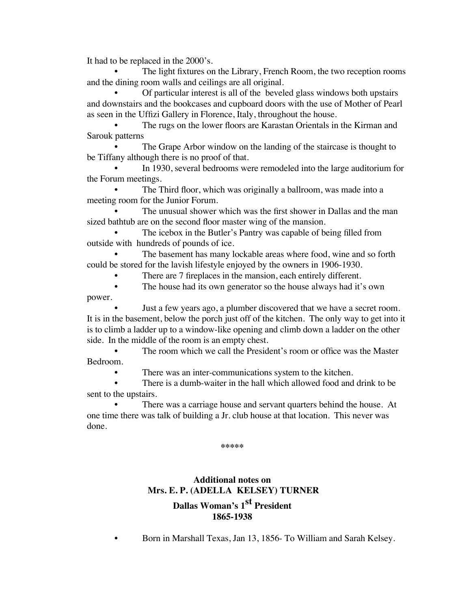It had to be replaced in the 2000's.

The light fixtures on the Library, French Room, the two reception rooms and the dining room walls and ceilings are all original.

• Of particular interest is all of the beveled glass windows both upstairs and downstairs and the bookcases and cupboard doors with the use of Mother of Pearl as seen in the Uffizi Gallery in Florence, Italy, throughout the house.

• The rugs on the lower floors are Karastan Orientals in the Kirman and Sarouk patterns

The Grape Arbor window on the landing of the staircase is thought to be Tiffany although there is no proof of that.

• In 1930, several bedrooms were remodeled into the large auditorium for the Forum meetings.

The Third floor, which was originally a ballroom, was made into a meeting room for the Junior Forum.

The unusual shower which was the first shower in Dallas and the man sized bathtub are on the second floor master wing of the mansion.

The icebox in the Butler's Pantry was capable of being filled from outside with hundreds of pounds of ice.

The basement has many lockable areas where food, wine and so forth could be stored for the lavish lifestyle enjoyed by the owners in 1906-1930.

There are 7 fireplaces in the mansion, each entirely different.

The house had its own generator so the house always had it's own power.

• Just a few years ago, a plumber discovered that we have a secret room. It is in the basement, below the porch just off of the kitchen. The only way to get into it is to climb a ladder up to a window-like opening and climb down a ladder on the other side. In the middle of the room is an empty chest.

The room which we call the President's room or office was the Master Bedroom.

There was an inter-communications system to the kitchen.

There is a dumb-waiter in the hall which allowed food and drink to be sent to the upstairs.

There was a carriage house and servant quarters behind the house. At one time there was talk of building a Jr. club house at that location. This never was done.

**\*\*\*\*\***

# **Additional notes on Mrs. E. P. (ADELLA KELSEY) TURNER**

**Dallas Woman's 1st President 1865-1938**

• Born in Marshall Texas, Jan 13, 1856- To William and Sarah Kelsey.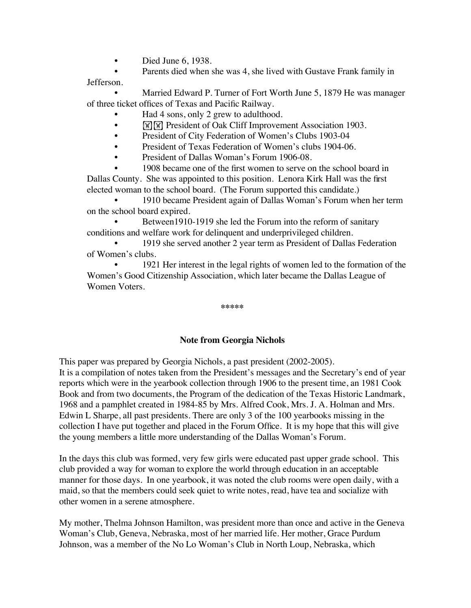- Died June 6, 1938.
- Parents died when she was 4, she lived with Gustave Frank family in

Jefferson.

Married Edward P. Turner of Fort Worth June 5, 1879 He was manager of three ticket offices of Texas and Pacific Railway.

- Had 4 sons, only 2 grew to adulthood.
- **EXECUTE:** President of Oak Cliff Improvement Association 1903.
- President of City Federation of Women's Clubs 1903-04
- President of Texas Federation of Women's clubs 1904-06.
- President of Dallas Woman's Forum 1906-08.

1908 became one of the first women to serve on the school board in Dallas County. She was appointed to this position. Lenora Kirk Hall was the first elected woman to the school board. (The Forum supported this candidate.)

• 1910 became President again of Dallas Woman's Forum when her term on the school board expired.

Between1910-1919 she led the Forum into the reform of sanitary conditions and welfare work for delinquent and underprivileged children.

• 1919 she served another 2 year term as President of Dallas Federation of Women's clubs.

• 1921 Her interest in the legal rights of women led to the formation of the Women's Good Citizenship Association, which later became the Dallas League of Women Voters.

**\*\*\*\*\***

## **Note from Georgia Nichols**

This paper was prepared by Georgia Nichols, a past president (2002-2005).

It is a compilation of notes taken from the President's messages and the Secretary's end of year reports which were in the yearbook collection through 1906 to the present time, an 1981 Cook Book and from two documents, the Program of the dedication of the Texas Historic Landmark, 1968 and a pamphlet created in 1984-85 by Mrs. Alfred Cook, Mrs. J. A. Holman and Mrs. Edwin L Sharpe, all past presidents. There are only 3 of the 100 yearbooks missing in the collection I have put together and placed in the Forum Office. It is my hope that this will give the young members a little more understanding of the Dallas Woman's Forum.

In the days this club was formed, very few girls were educated past upper grade school. This club provided a way for woman to explore the world through education in an acceptable manner for those days. In one yearbook, it was noted the club rooms were open daily, with a maid, so that the members could seek quiet to write notes, read, have tea and socialize with other women in a serene atmosphere.

My mother, Thelma Johnson Hamilton, was president more than once and active in the Geneva Woman's Club, Geneva, Nebraska, most of her married life. Her mother, Grace Purdum Johnson, was a member of the No Lo Woman's Club in North Loup, Nebraska, which